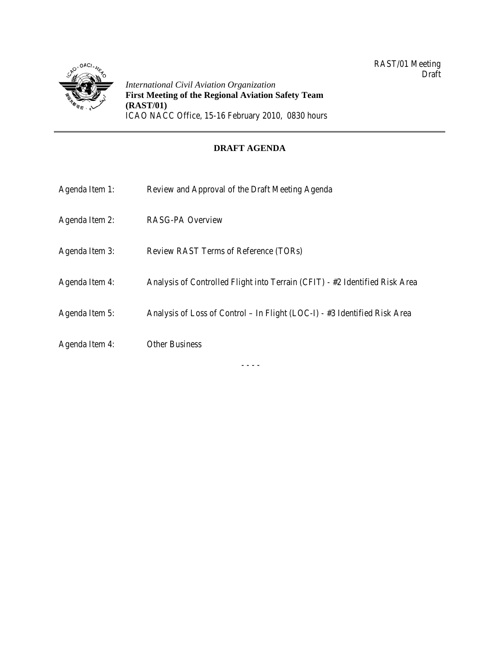

*International Civil Aviation Organization* **First Meeting of the Regional Aviation Safety Team (RAST/01)**  ICAO NACC Office, 15-16 February 2010, 0830 hours

# **DRAFT AGENDA**

| Agenda Item 1: | Review and Approval of the Draft Meeting Agenda                             |
|----------------|-----------------------------------------------------------------------------|
| Agenda Item 2: | <b>RASG-PA Overview</b>                                                     |
| Agenda Item 3: | Review RAST Terms of Reference (TORs)                                       |
| Agenda Item 4: | Analysis of Controlled Flight into Terrain (CFIT) - #2 Identified Risk Area |
| Agenda Item 5: | Analysis of Loss of Control – In Flight (LOC-I) - #3 Identified Risk Area   |
| Agenda Item 4: | <b>Other Business</b>                                                       |

- - - -